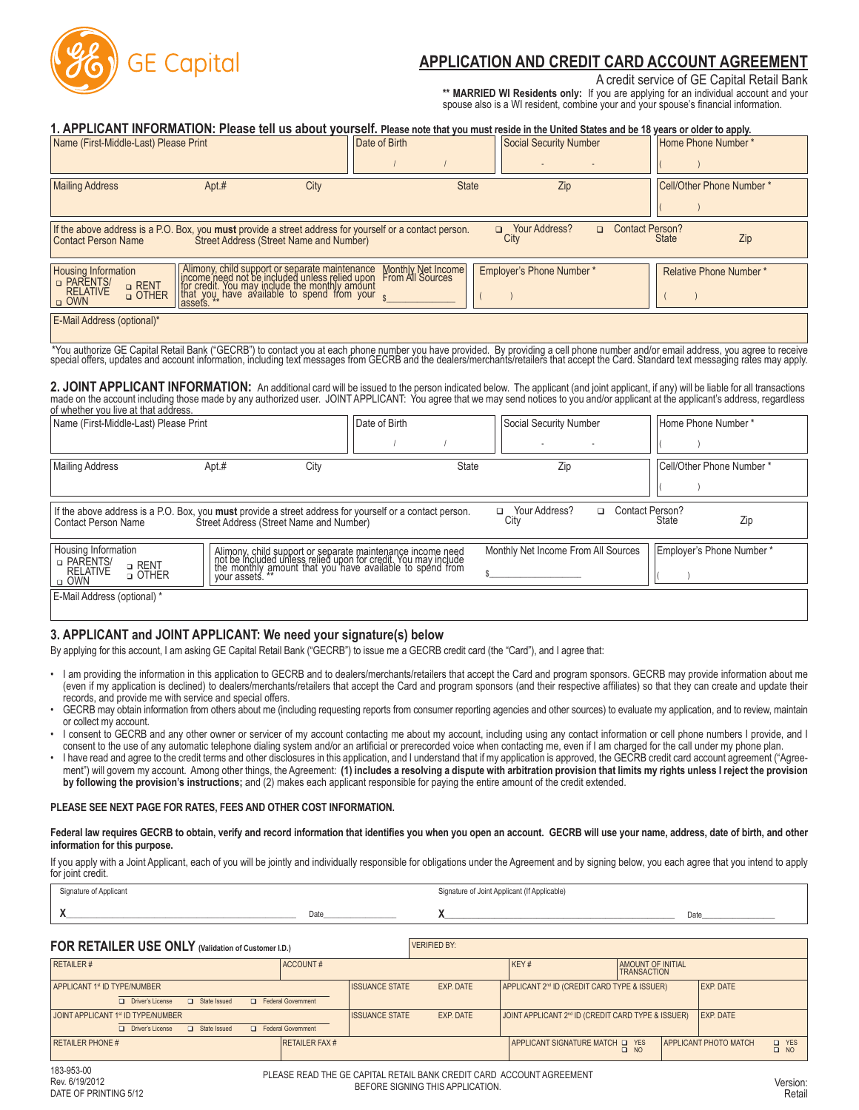

# **APPLICATION AND CREDIT CARD ACCOUNT AGREEMENT**

### A credit service of GE Capital Retail Bank

**\*\* MARRIED WI Residents only:** If you are applying for an individual account and your spouse also is a WI resident, combine your and your spouse's financial information.

| 1. APPLICANT INFORMATION: Please tell us about yourself. Please note that you must reside in the United States and be 18 years or older to apply.                                                                                 |       |                                                                                                                                                                                                               |                                        |      |                               |                                  |                               |     |
|-----------------------------------------------------------------------------------------------------------------------------------------------------------------------------------------------------------------------------------|-------|---------------------------------------------------------------------------------------------------------------------------------------------------------------------------------------------------------------|----------------------------------------|------|-------------------------------|----------------------------------|-------------------------------|-----|
| Name (First-Middle-Last) Please Print                                                                                                                                                                                             |       |                                                                                                                                                                                                               | Date of Birth                          |      | <b>Social Security Number</b> |                                  | Home Phone Number *           |     |
| <b>Mailing Address</b>                                                                                                                                                                                                            | Apt.# | City                                                                                                                                                                                                          | <b>State</b>                           |      | Zip                           |                                  | Cell/Other Phone Number*      |     |
| If the above address is a P.O. Box, you must provide a street address for yourself or a contact person.<br><b>Contact Person Name</b>                                                                                             |       | Street Address (Street Name and Number)                                                                                                                                                                       |                                        | City | □ Your Address?               | <b>Contact Person?</b><br>$\Box$ | <b>State</b>                  | Zip |
| <b>Housing Information</b><br>D PARENTS/<br>□ RENT<br><b>RELATIVE</b><br>□ OTHER<br>$\Box$ OWN                                                                                                                                    |       | Alimony, child support or separate maintenance M<br>income need not be included unless relied upon Fricredit. You may include the monthly amount<br>that you, have available to spend from your $\frac{1}{s}$ | Monthly Net Income<br>From All Sources |      | Employer's Phone Number*      |                                  | <b>Relative Phone Number*</b> |     |
| E-Mail Address (optional)*                                                                                                                                                                                                        |       |                                                                                                                                                                                                               |                                        |      |                               |                                  |                               |     |
| *You authorize GE Capital Retail Bank ("GECRB") to contact you at each phone number you have provided. By providing a cell phone number and/or email address, you agree to receive<br>special offers, updates and account informa |       |                                                                                                                                                                                                               |                                        |      |                               |                                  |                               |     |
| 2. JOINT APPLICANT INFORMATION: An additional card will be issued to the person indicated below. The applicant (and joint applicant, if any) will be liable for all transactions                                                  |       |                                                                                                                                                                                                               |                                        |      |                               |                                  |                               |     |

2. JOINT APPLICANT INFORMATION: An additional card will be issued to the person indicated below. The applicant (and joint applicant, if any) will be liable for all transactions<br>made on the account including those made by a

| of whether you live at that address.                                                                                                  |                                                                                                                                                                                                          |               |                                                                |                          |
|---------------------------------------------------------------------------------------------------------------------------------------|----------------------------------------------------------------------------------------------------------------------------------------------------------------------------------------------------------|---------------|----------------------------------------------------------------|--------------------------|
| Name (First-Middle-Last) Please Print                                                                                                 |                                                                                                                                                                                                          | Date of Birth | Social Security Number                                         | Home Phone Number*       |
|                                                                                                                                       |                                                                                                                                                                                                          |               | $\sim$                                                         |                          |
| <b>Mailing Address</b>                                                                                                                | Apt.#<br>City                                                                                                                                                                                            | State         | Zip                                                            | Cell/Other Phone Number* |
|                                                                                                                                       |                                                                                                                                                                                                          |               |                                                                |                          |
| If the above address is a P.O. Box, you must provide a street address for yourself or a contact person.<br><b>Contact Person Name</b> | Street Address (Street Name and Number)                                                                                                                                                                  |               | <b>Contact Person?</b><br>Your Address?<br>$\Box$<br>▫<br>City | Zip<br>State             |
| Housing Information<br>D PARENTS/<br>□ RENT<br><b>RELATIVE</b><br><b>D</b> OTHER<br>$\Box$ OWN                                        | Alimony, child support or separate maintenance income need<br>not be included unless relied upon for credit. You may include<br>the monthly amount that you have available to spend from<br>your assets. |               | Monthly Net Income From All Sources                            | Employer's Phone Number* |
| E-Mail Address (optional) *                                                                                                           |                                                                                                                                                                                                          |               |                                                                |                          |

### **3. APPLICANT and JOINT APPLICANT: We need your signature(s) below**

By applying for this account, I am asking GE Capital Retail Bank ("GECRB") to issue me a GECRB credit card (the "Card"), and I agree that:

- I am providing the information in this application to GECRB and to dealers/merchants/retailers that accept the Card and program sponsors. GECRB may provide information about me (even if my application is declined) to dealers/merchants/retailers that accept the Card and program sponsors (and their respective affiliates) so that they can create and update their records, and provide me with service and special offers.
- GECRB may obtain information from others about me (including requesting reports from consumer reporting agencies and other sources) to evaluate my application, and to review, maintain or collect my account.
- I consent to GECRB and any other owner or servicer of my account contacting me about my account, including using any contact information or cell phone numbers I provide, and I consent to the use of any automatic telephone dialing system and/or an artificial or prerecorded voice when contacting me, even if I am charged for the call under my phone plan.
- I have read and agree to the credit terms and other disclosures in this application, and I understand that if my application is approved, the GECRB credit card account agreement ("Agreement") will govern my account. Among other things, the Agreement: (1) includes a resolving a dispute with arbitration provision that limits my rights unless I reject the provision **by following the provision's instructions;** and (2) makes each applicant responsible for paying the entire amount of the credit extended.

#### **PLEASE SEE NEXT PAGE FOR RATES, FEES AND OTHER COST INFORMATION.**

**Federal law requires GECRB to obtain, verify and record information that identifies you when you open an account. GECRB will use your name, address, date of birth, and other information for this purpose.**

If you apply with a Joint Applicant, each of you will be jointly and individually responsible for obligations under the Agreement and by signing below, you each agree that you intend to apply for joint credit.

| Signature of Applicant |      | Signature of Joint Applicant (If Applicable) |     |
|------------------------|------|----------------------------------------------|-----|
|                        | Date |                                              | Dat |

# VERIFIED BY: **FOR RETAILER USE ONLY (Validation of Customer I.D.)**

| <b>UIN INLIAILLIN UUL UNLI (Validation of Customer I.D.)</b>                                                               |                       |                                    |                                                          |                                  |                                                           |
|----------------------------------------------------------------------------------------------------------------------------|-----------------------|------------------------------------|----------------------------------------------------------|----------------------------------|-----------------------------------------------------------|
| <b>RETAILER#</b>                                                                                                           | ACCOUNT#              |                                    | KEY#                                                     | AMOUNT OF INITIAL<br>TRANSACTION |                                                           |
| APPLICANT 1st ID TYPE/NUMBER<br><b>Exercise</b> Government<br>Driver's License<br>G State Issued                           |                       | <b>ISSUANCE STATE</b><br>EXP. DATE | APPLICANT 2 <sup>nd</sup> ID (CREDIT CARD TYPE & ISSUER) |                                  | <b>EXP. DATE</b>                                          |
| JOINT APPLICANT 1 <sup>st</sup> ID TYPE/NUMBER<br><b>Exercise Covernment</b><br>Driver's License<br><b>Ca</b> State Issued |                       | <b>ISSUANCE STATE</b><br>EXP. DATE | I JOINT APPLICANT 2™ ID (CREDIT CARD TYPE & ISSUER)      |                                  | EXP. DATE                                                 |
| <b>RETAILER PHONE #</b>                                                                                                    | <b>RETAILER FAX #</b> |                                    | APPLICANT SIGNATURE MATCH OF YES                         | $\Box$ NO                        | <b>APPLICANT PHOTO MATCH</b><br><b>Q</b> YES<br>$\Box$ NO |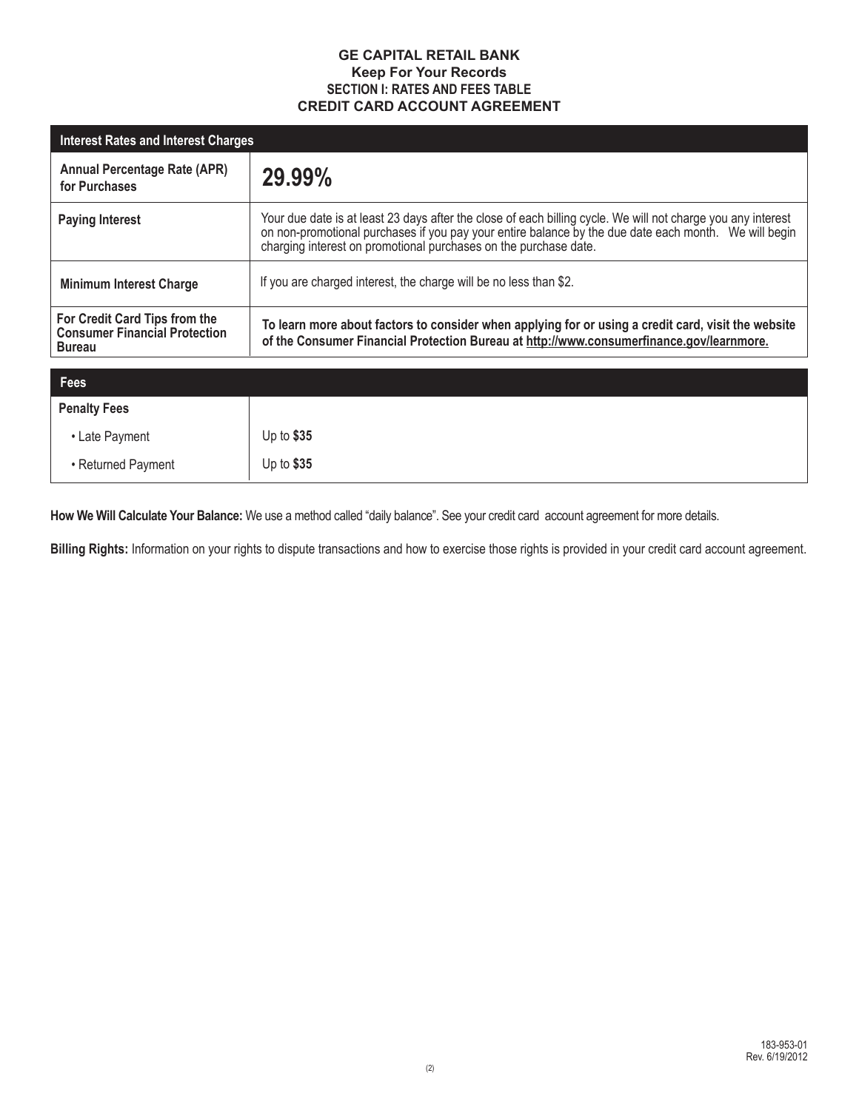## **GE CAPITAL RETAIL BANK Keep For Your Records SECTION I: RATES AND FEES TABLE CREDIT CARD ACCOUNT AGREEMENT**

| Interest Rates and Interest Charges                                                    |                                                                                                                                                                                                                                                                                           |  |  |  |
|----------------------------------------------------------------------------------------|-------------------------------------------------------------------------------------------------------------------------------------------------------------------------------------------------------------------------------------------------------------------------------------------|--|--|--|
| <b>Annual Percentage Rate (APR)</b><br>for Purchases                                   | 29.99%                                                                                                                                                                                                                                                                                    |  |  |  |
| <b>Paying Interest</b>                                                                 | Your due date is at least 23 days after the close of each billing cycle. We will not charge you any interest<br>on non-promotional purchases if you pay your entire balance by the due date each month. We will begin<br>charging interest on promotional purchases on the purchase date. |  |  |  |
| <b>Minimum Interest Charge</b>                                                         | If you are charged interest, the charge will be no less than \$2.                                                                                                                                                                                                                         |  |  |  |
| For Credit Card Tips from the<br><b>Consumer Financial Protection</b><br><b>Bureau</b> | To learn more about factors to consider when applying for or using a credit card, visit the website<br>of the Consumer Financial Protection Bureau at http://www.consumerfinance.gov/learnmore.                                                                                           |  |  |  |

| Fees                |            |
|---------------------|------------|
| <b>Penalty Fees</b> |            |
| • Late Payment      | Up to \$35 |
| • Returned Payment  | Up to \$35 |

**How We Will Calculate Your Balance:** We use a method called "daily balance". See your credit card account agreement for more details.

**Billing Rights:** Information on your rights to dispute transactions and how to exercise those rights is provided in your credit card account agreement.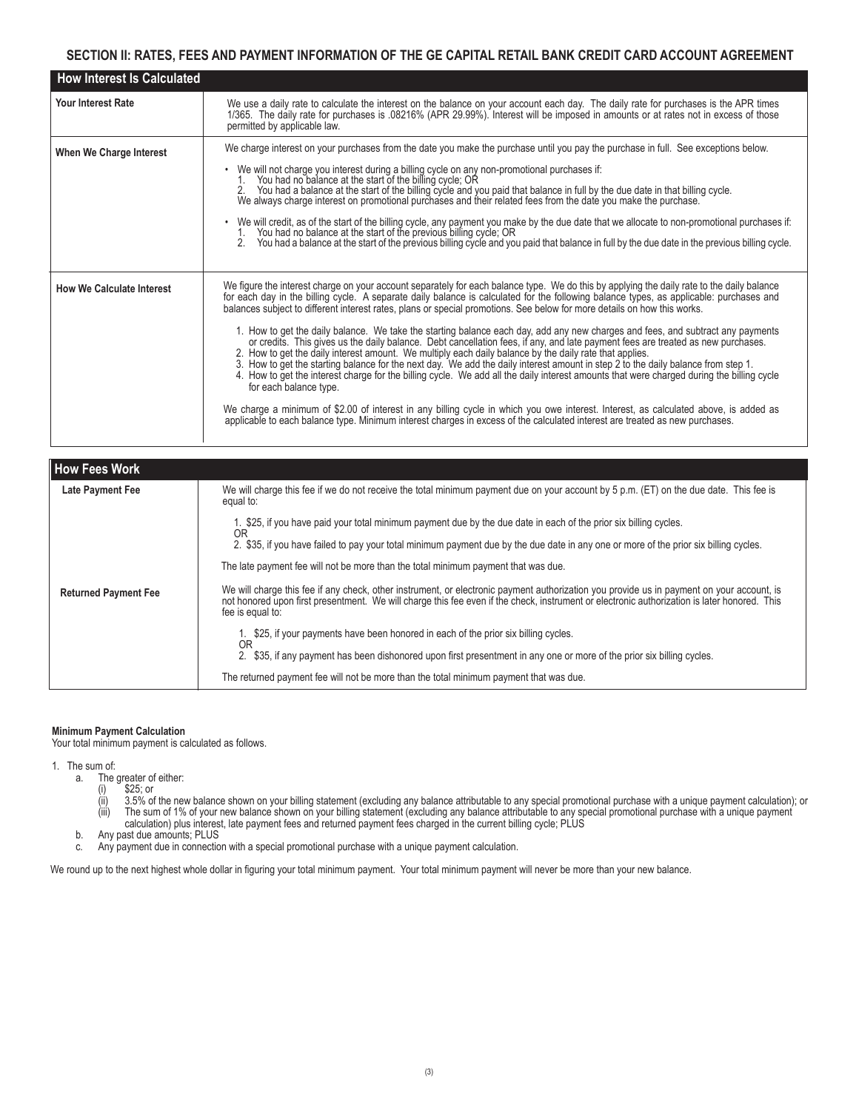### **SECTION II: RATES, FEES AND PAYMENT INFORMATION OF THE GE CAPITAL RETAIL BANK CREDIT CARD ACCOUNT AGREEMENT**

| <b>How Interest Is Calculated</b> |                                                                                                                                                                                                                                                                                                                                                                                                                                                                                                                                                                                                                                                                                                                                                                                                                                                                                                                                                                                                                                                                                                                                                                                                                                                                                                                                                                                         |
|-----------------------------------|-----------------------------------------------------------------------------------------------------------------------------------------------------------------------------------------------------------------------------------------------------------------------------------------------------------------------------------------------------------------------------------------------------------------------------------------------------------------------------------------------------------------------------------------------------------------------------------------------------------------------------------------------------------------------------------------------------------------------------------------------------------------------------------------------------------------------------------------------------------------------------------------------------------------------------------------------------------------------------------------------------------------------------------------------------------------------------------------------------------------------------------------------------------------------------------------------------------------------------------------------------------------------------------------------------------------------------------------------------------------------------------------|
| <b>Your Interest Rate</b>         | We use a daily rate to calculate the interest on the balance on your account each day. The daily rate for purchases is the APR times<br>1/365. The daily rate for purchases is .08216% (APR 29.99%). Interest will be imposed in amounts or at rates not in excess of those<br>permitted by applicable law.                                                                                                                                                                                                                                                                                                                                                                                                                                                                                                                                                                                                                                                                                                                                                                                                                                                                                                                                                                                                                                                                             |
| When We Charge Interest           | We charge interest on your purchases from the date you make the purchase until you pay the purchase in full. See exceptions below.<br>We will not charge you interest during a billing cycle on any non-promotional purchases if:<br>1. You had no balance at the start of the billing cycle; OR<br>2. You had a balance at the start of the billing cycle and you paid th<br>We always charge interest on promotional purchases and their related fees from the date you make the purchase.<br>• We will credit, as of the start of the billing cycle, any payment you make by the due date that we allocate to non-promotional purchases if:<br>1. You had no balance at the start of the previous billing cycle; OR<br>You had a balance at the start of the previous billing cycle and you paid that balance in full by the due date in the previous billing cycle.<br>2.                                                                                                                                                                                                                                                                                                                                                                                                                                                                                                           |
| <b>How We Calculate Interest</b>  | We figure the interest charge on your account separately for each balance type. We do this by applying the daily rate to the daily balance<br>for each day in the billing cycle. A separate daily balance is calculated for the following balance types, as applicable: purchases and<br>balances subject to different interest rates, plans or special promotions. See below for more details on how this works.<br>1. How to get the daily balance. We take the starting balance each day, add any new charges and fees, and subtract any payments<br>or credits. This gives us the daily balance. Debt cancellation fees, if any, and late payment fees are treated as new purchases.<br>2. How to get the daily interest amount. We multiply each daily balance by the daily rate that applies.<br>3. How to get the starting balance for the next day. We add the daily interest amount in step 2 to the daily balance from step 1.<br>4. How to get the interest charge for the billing cycle. We add all the daily interest amounts that were charged during the billing cycle<br>for each balance type.<br>We charge a minimum of \$2.00 of interest in any billing cycle in which you owe interest. Interest, as calculated above, is added as<br>applicable to each balance type. Minimum interest charges in excess of the calculated interest are treated as new purchases. |

| How Fees Work               |                                                                                                                                                                                                                                                       |
|-----------------------------|-------------------------------------------------------------------------------------------------------------------------------------------------------------------------------------------------------------------------------------------------------|
| Late Payment Fee            | We will charge this fee if we do not receive the total minimum payment due on your account by 5 p.m. (ET) on the due date. This fee is<br>equal to:                                                                                                   |
|                             | 1. \$25, if you have paid your total minimum payment due by the due date in each of the prior six billing cycles.                                                                                                                                     |
|                             | OR<br>2. \$35, if you have failed to pay your total minimum payment due by the due date in any one or more of the prior six billing cycles.                                                                                                           |
|                             | The late payment fee will not be more than the total minimum payment that was due.                                                                                                                                                                    |
| <b>Returned Payment Fee</b> | We will charge this fee if any check, other instrument, or electronic payment authorization you provide us in payment on your account, is<br>not honored upon first presentment. We will charge this fee even if the check, instr<br>fee is equal to: |
|                             | 1. \$25, if your payments have been honored in each of the prior six billing cycles.<br>OR                                                                                                                                                            |
|                             | 2. \$35, if any payment has been dishonored upon first presentment in any one or more of the prior six billing cycles.                                                                                                                                |
|                             | The returned payment fee will not be more than the total minimum payment that was due.                                                                                                                                                                |

### **Minimum Payment Calculation**

Your total minimum payment is calculated as follows.

- 1. The sum of:
	- The greater of either:<br>(i)  $$25$ ; or<br>(ii)  $3.5\%$  of the new
- (i) \$25; or
- (ii) 3.5% of the new balance shown on your billing statement (excluding any balance attributable to any special promotional purchase with a unique payment calculation); or (iii) The sum of 1% of your new balance shown on your billing statement (excluding any balance attributable to any special promotional purchase with a unique payment calculation) plus interest, late payment fees and returned payment fees charged in the current billing cycle; PLUS
- b. Any past due amounts; PLUS
	- c. Any payment due in connection with a special promotional purchase with a unique payment calculation.

We round up to the next highest whole dollar in figuring your total minimum payment. Your total minimum payment will never be more than your new balance.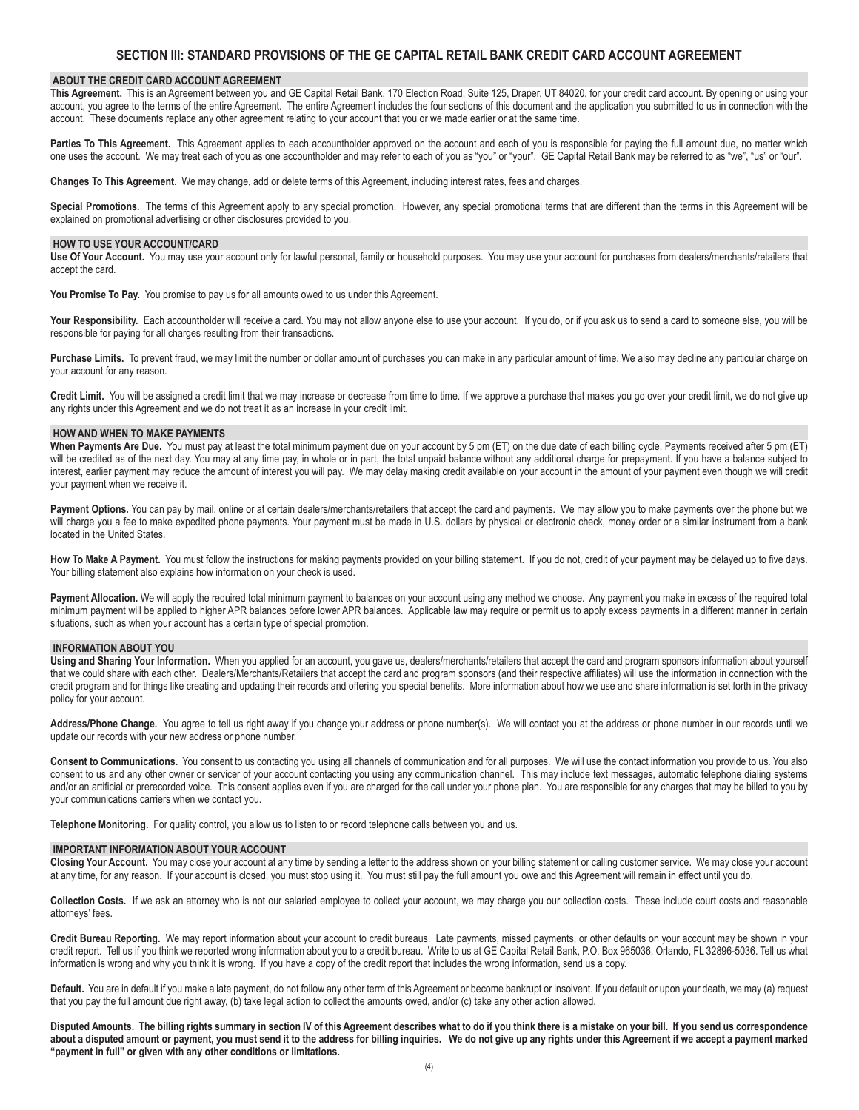### **SECTION III: STANDARD PROVISIONS OF THE GE CAPITAL RETAIL BANK CREDIT CARD ACCOUNT AGREEMENT**

#### **ABOUT THE CREDIT CARD ACCOUNT AGREEMENT**

This Agreement. This is an Agreement between you and GE Capital Retail Bank, 170 Election Road, Suite 125, Draper, UT 84020, for your credit card account. By opening or using your account, you agree to the terms of the entire Agreement. The entire Agreement includes the four sections of this document and the application you submitted to us in connection with the account. These documents replace any other agreement relating to your account that you or we made earlier or at the same time.

Parties To This Agreement. This Agreement applies to each accountholder approved on the account and each of you is responsible for paying the full amount due, no matter which one uses the account. We may treat each of you as one accountholder and may refer to each of you as "you" or "your". GE Capital Retail Bank may be referred to as "we", "us" or "our".

**Changes To This Agreement.** We may change, add or delete terms of this Agreement, including interest rates, fees and charges.

Special Promotions. The terms of this Agreement apply to any special promotion. However, any special promotional terms that are different than the terms in this Agreement will be explained on promotional advertising or other disclosures provided to you.

#### **HOW TO USE YOUR ACCOUNT/CARD**

**Use Of Your Account.** You may use your account only for lawful personal, family or household purposes. You may use your account for purchases from dealers/merchants/retailers that accept the card.

You Promise To Pay. You promise to pay us for all amounts owed to us under this Agreement.

Your Responsibility. Each accountholder will receive a card. You may not allow anyone else to use your account. If you do, or if you ask us to send a card to someone else, you will be responsible for paying for all charges resulting from their transactions.

**Purchase Limits.** To prevent fraud, we may limit the number or dollar amount of purchases you can make in any particular amount of time. We also may decline any particular charge on your account for any reason.

Credit Limit. You will be assigned a credit limit that we may increase or decrease from time to time. If we approve a purchase that makes you go over your credit limit, we do not give up any rights under this Agreement and we do not treat it as an increase in your credit limit.

#### **HOW AND WHEN TO MAKE PAYMENTS**

When Payments Are Due. You must pay at least the total minimum payment due on your account by 5 pm (ET) on the due date of each billing cycle. Payments received after 5 pm (ET) will be credited as of the next day. You may at any time pay, in whole or in part, the total unpaid balance without any additional charge for prepayment. If you have a balance subject to interest, earlier payment may reduce the amount of interest you will pay. We may delay making credit available on your account in the amount of your payment even though we will credit your payment when we receive it.

Payment Options. You can pay by mail, online or at certain dealers/merchants/retailers that accept the card and payments. We may allow you to make payments over the phone but we will charge you a fee to make expedited phone payments. Your payment must be made in U.S. dollars by physical or electronic check, money order or a similar instrument from a bank located in the United States.

How To Make A Payment. You must follow the instructions for making payments provided on your billing statement. If you do not, credit of your payment may be delayed up to five days. Your billing statement also explains how information on your check is used.

Payment Allocation. We will apply the required total minimum payment to balances on your account using any method we choose. Any payment you make in excess of the required total minimum payment will be applied to higher APR balances before lower APR balances. Applicable law may require or permit us to apply excess payments in a different manner in certain situations, such as when your account has a certain type of special promotion.

#### **INFORMATION ABOUT YOU**

Using and Sharing Your Information. When you applied for an account, you gave us, dealers/merchants/retailers that accept the card and program sponsors information about yourself that we could share with each other. Dealers/Merchants/Retailers that accept the card and program sponsors (and their respective affiliates) will use the information in connection with the credit program and for things like creating and updating their records and offering you special benefits. More information about how we use and share information is set forth in the privacy policy for your account.

**Address/Phone Change.** You agree to tell us right away if you change your address or phone number(s). We will contact you at the address or phone number in our records until we update our records with your new address or phone number.

**Consent to Communications.** You consent to us contacting you using all channels of communication and for all purposes. We will use the contact information you provide to us. You also consent to us and any other owner or servicer of your account contacting you using any communication channel. This may include text messages, automatic telephone dialing systems and/or an artificial or prerecorded voice. This consent applies even if you are charged for the call under your phone plan. You are responsible for any charges that may be billed to you by your communications carriers when we contact you.

**Telephone Monitoring.** For quality control, you allow us to listen to or record telephone calls between you and us.

#### **IMPORTANT INFORMATION ABOUT YOUR ACCOUNT**

Closing Your Account. You may close your account at any time by sending a letter to the address shown on your billing statement or calling customer service. We may close your account at any time, for any reason. If your account is closed, you must stop using it. You must still pay the full amount you owe and this Agreement will remain in effect until you do.

Collection Costs. If we ask an attorney who is not our salaried employee to collect your account, we may charge you our collection costs. These include court costs and reasonable attorneys' fees.

**Credit Bureau Reporting.** We may report information about your account to credit bureaus. Late payments, missed payments, or other defaults on your account may be shown in your credit report. Tell us if you think we reported wrong information about you to a credit bureau. Write to us at GE Capital Retail Bank, P.O. Box 965036, Orlando, FL 32896-5036. Tell us what information is wrong and why you think it is wrong. If you have a copy of the credit report that includes the wrong information, send us a copy.

Default. You are in default if you make a late payment, do not follow any other term of this Agreement or become bankrupt or insolvent. If you default or upon your death, we may (a) request that you pay the full amount due right away, (b) take legal action to collect the amounts owed, and/or (c) take any other action allowed.

**Disputed Amounts. The billing rights summary in section IV of this Agreement describes what to do if you think there is a mistake on your bill. If you send us correspondence about a disputed amount or payment, you must send it to the address for billing inquiries. We do not give up any rights under this Agreement if we accept a payment marked "payment in full" or given with any other conditions or limitations.**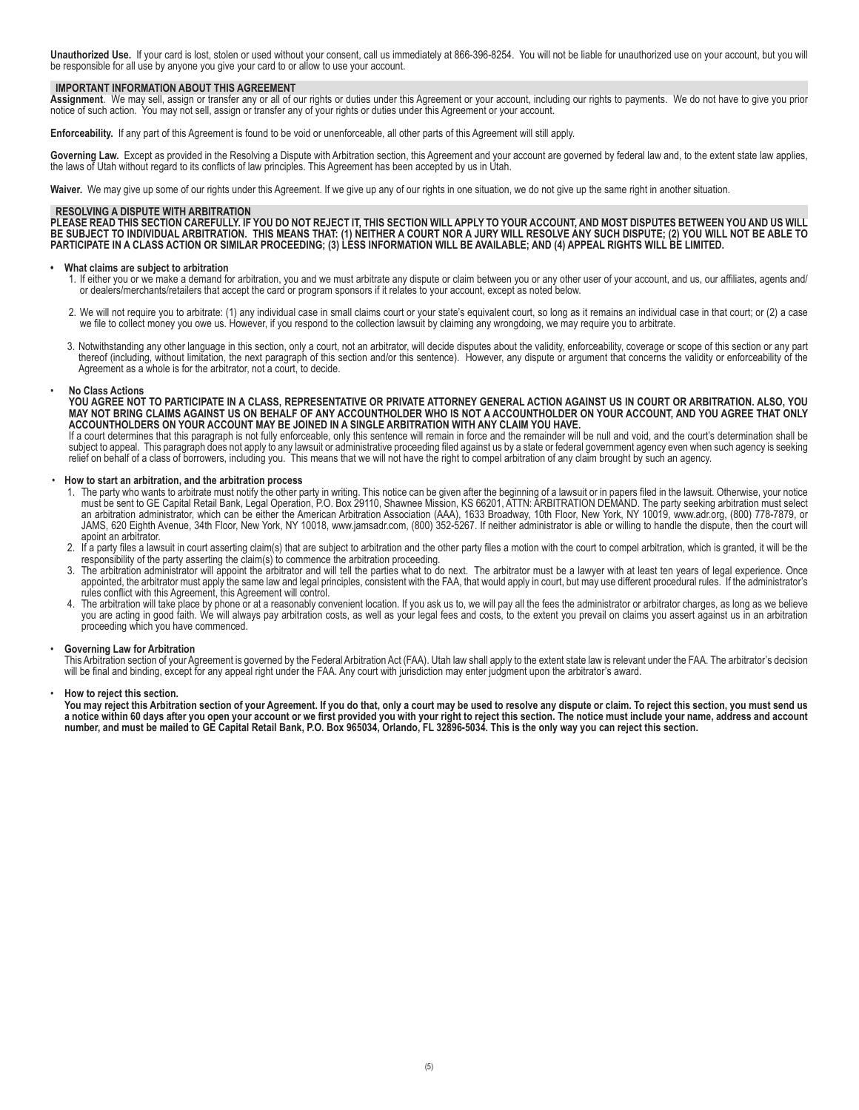**Unauthorized Use.** If your card is lost, stolen or used without your consent, call us immediately at 866-396-8254. You will not be liable for unauthorized use on your account, but you will be responsible for all use by anyone you give your card to or allow to use your account.

#### **IMPORTANT INFORMATION ABOUT THIS AGREEMENT**

**Assignment**. We may sell, assign or transfer any or all of our rights or duties under this Agreement or your account, including our rights to payments. We do not have to give you prior notice of such action. You may not sell, assign or transfer any of your rights or duties under this Agreement or your account.

**Enforceability.** If any part of this Agreement is found to be void or unenforceable, all other parts of this Agreement will still apply.

Governing Law. Except as provided in the Resolving a Dispute with Arbitration section, this Agreement and your account are governed by federal law and, to the extent state law applies, the laws of Utah without regard to its conflicts of law principles. This Agreement has been accepted by us in Utah.

Waiver. We may give up some of our rights under this Agreement. If we give up any of our rights in one situation, we do not give up the same right in another situation.

#### **RESOLVING A DISPUTE WITH ARBITRATION**

**PLEASE READ THIS SECTION CAREFULLY. IF YOU DO NOT REJECT IT, THIS SECTION WILL APPLY TO YOUR ACCOUNT, AND MOST DISPUTES BETWEEN YOU AND US WILL BE SUBJECT TO INDIVIDUAL ARBITRATION. THIS MEANS THAT: (1) NEITHER A COURT NOR A JURY WILL RESOLVE ANY SUCH DISPUTE; (2) YOU WILL NOT BE ABLE TO PARTICIPATE IN A CLASS ACTION OR SIMILAR PROCEEDING; (3) LESS INFORMATION WILL BE AVAILABLE; AND (4) APPEAL RIGHTS WILL BE LIMITED.**

#### **• What claims are subject to arbitration**

- 1. If either you or we make a demand for arbitration, you and we must arbitrate any dispute or claim between you or any other user of your account, and us, our affiliates, agents and/ or dealers/merchants/retailers that accept the card or program sponsors if it relates to your account, except as noted below.
- 2. We will not require you to arbitrate: (1) any individual case in small claims court or your state's equivalent court, so long as it remains an individual case in that court; or (2) a case we file to collect money you owe us. However, if you respond to the collection lawsuit by claiming any wrongdoing, we may require you to arbitrate.
- 3. Notwithstanding any other language in this section, only a court, not an arbitrator, will decide disputes about the validity, enforceability, coverage or scope of this section or any part thereof (including, without limitation, the next paragraph of this section and/or this sentence). However, any dispute or argument that concerns the validity or enforceability of the Agreement as a whole is for the arbitrator, not a court, to decide.

#### **No Class Actions**

**YOU AGREE NOT TO PARTICIPATE IN A CLASS, REPRESENTATIVE OR PRIVATE ATTORNEY GENERAL ACTION AGAINST US IN COURT OR ARBITRATION. ALSO, YOU MAY NOT BRING CLAIMS AGAINST US ON BEHALF OF ANY ACCOUNTHOLDER WHO IS NOT A ACCOUNTHOLDER ON YOUR ACCOUNT, AND YOU AGREE THAT ONLY ACCOUNTHOLDERS ON YOUR ACCOUNT MAY BE JOINED IN A SINGLE ARBITRATION WITH ANY CLAIM YOU HAVE.** 

If a court determines that this paragraph is not fully enforceable, only this sentence will remain in force and the remainder will be null and void, and the court's determination shall be subject to appeal. This paragraph does not apply to any lawsuit or administrative proceeding filed against us by a state or federal government agency even when such agency is seeking relief on behalf of a class of borrowers, including you. This means that we will not have the right to compel arbitration of any claim brought by such an agency.

#### How to start an arbitration, and the arbitration process

- 1. The party who wants to arbitrate must notify the other party in writing. This notice can be given after the beginning of a lawsuit or in papers filed in the lawsuit. Otherwise, your notice must be sent to GE Capital Retail Bank, Legal Operation, P.O. Box 29110, Shawnee Mission, KS 66201, ATTN: ARBITRATION DEMAND. The party seeking arbitration must select an arbitration administrator, which can be either the American Arbitration Association (AAA), 1633 Broadway, 10th Floor, New York, NY 10019, www.adr.org, (800) 778-7879, or JAMS, 620 Eighth Avenue, 34th Floor, New York, NY 10018, www.jamsadr.com, (800) 352-5267. If neither administrator is able or willing to handle the dispute, then the court will apoint an arbitrator.
- 2. If a party files a lawsuit in court asserting claim(s) that are subject to arbitration and the other party files a motion with the court to compel arbitration, which is granted, it will be the responsibility of the party asserting the claim(s) to commence the arbitration proceeding.
- 3. The arbitration administrator will appoint the arbitrator and will tell the parties what to do next. The arbitrator must be a lawyer with at least ten years of legal experience. Once appointed, the arbitrator must apply the same law and legal principles, consistent with the FAA, that would apply in court, but may use different procedural rules. If the administrator's rules conflict with this Agreement, this Agreement will control.
- 4. The arbitration will take place by phone or at a reasonably convenient location. If you ask us to, we will pay all the fees the administrator or arbitrator charges, as long as we believe you are acting in good faith. We will always pay arbitration costs, as well as your legal fees and costs, to the extent you prevail on claims you assert against us in an arbitration proceeding which you have commenced.

#### **Governing Law for Arbitration**

 This Arbitration section of your Agreement is governed by the Federal Arbitration Act (FAA). Utah law shall apply to the extent state law is relevant under the FAA. The arbitrator's decision will be final and binding, except for any appeal right under the FAA. Any court with jurisdiction may enter judgment upon the arbitrator's award.

#### How to reject this section.

**You may reject this Arbitration section of your Agreement. If you do that, only a court may be used to resolve any dispute or claim. To reject this section, you must send us**  a notice within 60 days after you open your account or we first provided you with your right to reject this section. The notice must include your name, address and account **number, and must be mailed to GE Capital Retail Bank, P.O. Box 965034, Orlando, FL 32896-5034. This is the only way you can reject this section.**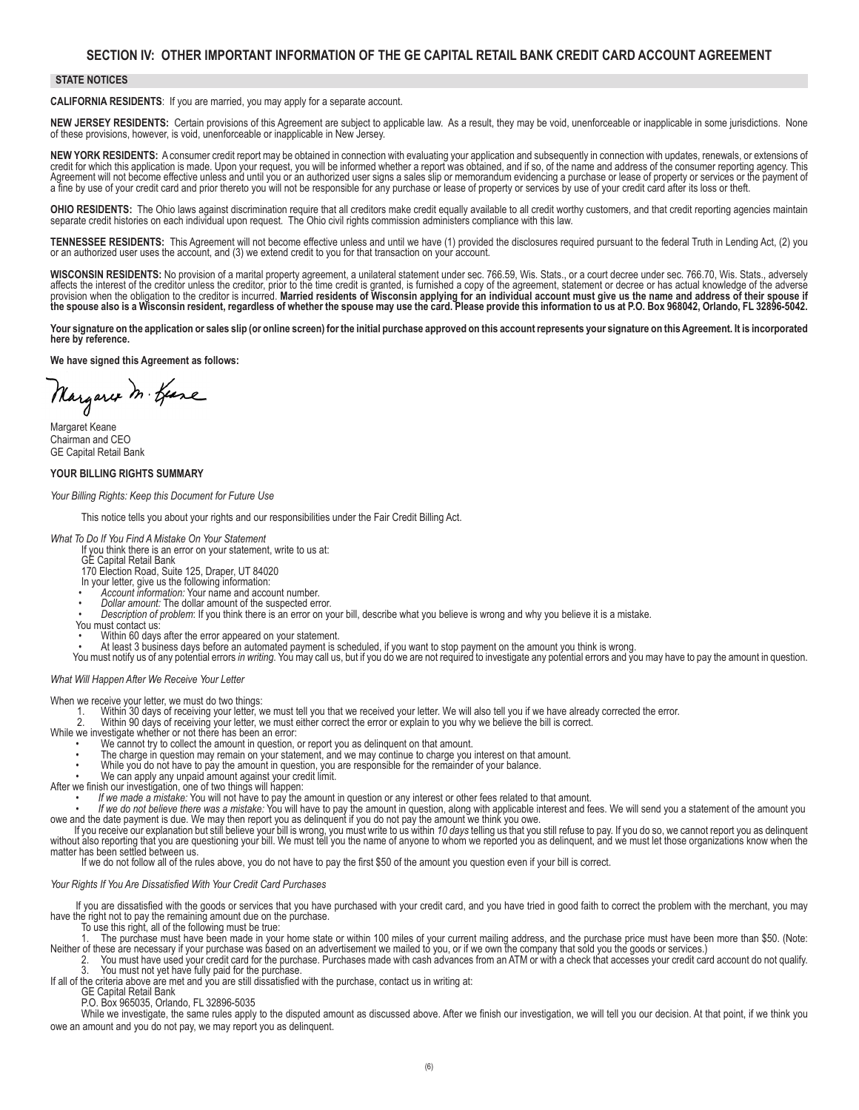### **SECTION IV: OTHER IMPORTANT INFORMATION OF THE GE CAPITAL RETAIL BANK CREDIT CARD ACCOUNT AGREEMENT**

### **STATE NOTICES**

**CALIFORNIA RESIDENTS**: If you are married, you may apply for a separate account.

**NEW JERSEY RESIDENTS:** Certain provisions of this Agreement are subject to applicable law. As a result, they may be void, unenforceable or inapplicable in some jurisdictions. None of these provisions, however, is void, unenforceable or inapplicable in New Jersey.

**NEW YORK RESIDENTS:** A consumer credit report may be obtained in connection with evaluating your application and subsequently in connection with updates, renewals, or extensions of credit for which this application is made. Upon your request, you will be informed whether a report was obtained, and if so, of the name and address of the consumer reporting agency. This Agreement will not become effectiv a fine by use of your credit card and prior thereto you will not be responsible for any purchase or lease of property or services by use of your credit card after its loss or theft.

**OHIO RESIDENTS:** The Ohio laws against discrimination require that all creditors make credit equally available to all credit worthy customers, and that credit reporting agencies maintain separate credit histories on each individual upon request. The Ohio civil rights commission administers compliance with this law.

TENNESSEE RESIDENTS: This Agreement will not become effective unless and until we have (1) provided the disclosures required pursuant to the federal Truth in Lending Act, (2) you or an authorized user uses the account, and

**WISCONSIN RESIDENTS:** No provision of a marital property agreement, a unilateral statement under sec. 766.59, Wis. Stats., or a court decree under sec. 766.70, Wis. Stats., adversely<br>affects the interest of the creditor u **the spouse also is a Wisconsin resident, regardless of whether the spouse may use the card. Please provide this information to us at P.O. Box 968042, Orlando, FL 32896-5042.**

**Your signature on the application or sales slip (or online screen) for the initial purchase approved on this account represents your signature on this Agreement. It is incorporated here by reference.**

**We have signed this Agreement as follows:** 

Margaret M. Geare

Margaret Keane Chairman and CEO GE Capital Retail Bank

# **YOUR BILLING RIGHTS SUMMARY**

*Your Billing Rights: Keep this Document for Future Use*

 This notice tells you about your rights and our responsibilities under the Fair Credit Billing Act.

### *What To Do If You Find A Mistake On Your Statement*

- If you think there is an error on your statement, write to us at:
- GE Capital Retail Bank
- 170 Election Road, Suite 125, Draper, UT 84020
- In your letter, give us the following information:<br>• Account information: Your name and account number.
- 
- Dollar amount: The dollar amount of the suspected error.<br>Description of problem: If you think there is an error on your bill, describe what you believe is wrong and why you believe it is a mistake.
- You must contact us:
- Within 60 days after the error appeared on your statement.
- At least 3 business days before an automated payment is scheduled, if you want to stop payment on the amount you think is wrong.
- You must notify us of any potential errors *in writing.* You may call us, but if you do we are not required to investigate any potential errors and you may have to pay the amount in question.

*What Will Happen After We Receive Your Letter*

When we receive your letter, we must do two things:

- 1. Within 30 days of receiving your letter, we must tell you that we received your letter. We will also tell you if we have already corrected the error.<br>2. White we investigate when the compurienc, we must either correct
	-
	-
	-
	- The charge in question may remain on your statement, and we may continue to charge you interest on that amount.
	- While you do not have to pay the amount in question, you are responsible for the remainder of your balance.
	-
- We can apply any unpaid amount against your credit limit.<br>After we finish our investigation, one of two things will happen:
	-

• If we made a mistake: You will not have to pay the amount in question or any interest or other fees related to that amount.<br>• If we do not believe there was a mistake: You will have to pay the amount in question, along w

We are the pour explanation but still believe your bill is wrong, you must write to us within 10 days telling us that you still refuse to pay. If you do so, we cannot report you as delinquent without also reporting that yo

If we do not follow all of the rules above, you do not have to pay the first \$50 of the amount you question even if your bill is correct.

#### *Your Rights If You Are Dissatisfied With Your Credit Card Purchases*

If you are dissatisfied with the goods or services that you have purchased with your credit card, and you have tried in good faith to correct the problem with the merchant, you may have the right not to pay the remaining amount due on the purchase.

 To use this right, all of the following must be true:

The purchase must have been made in your home state or within 100 miles of your current mailing address, and the purchase price must have been more than \$50. (Note: Neither of these are necessary if your purchase was based on an advertisement we mailed to you, or if we own the company that sold you the goods or services.)

2. You must have used your credit card for the purchase. Purchases made with cash advances from an ATM or with a check that accesses your credit card account do not qualify.<br>3. You must not yet have fully paid for the purc

If all of the criteria above are met and you are still dissatisfied with the purchase, contact us in writing at:

GE Capital Retail Bank

 P.O. Box 965035, Orlando, FL 32896-5035

While we investigate, the same rules apply to the disputed amount as discussed above. After we finish our investigation, we will tell you our decision. At that point, if we think you owe an amount and you do not pay, we may report you as delinquent.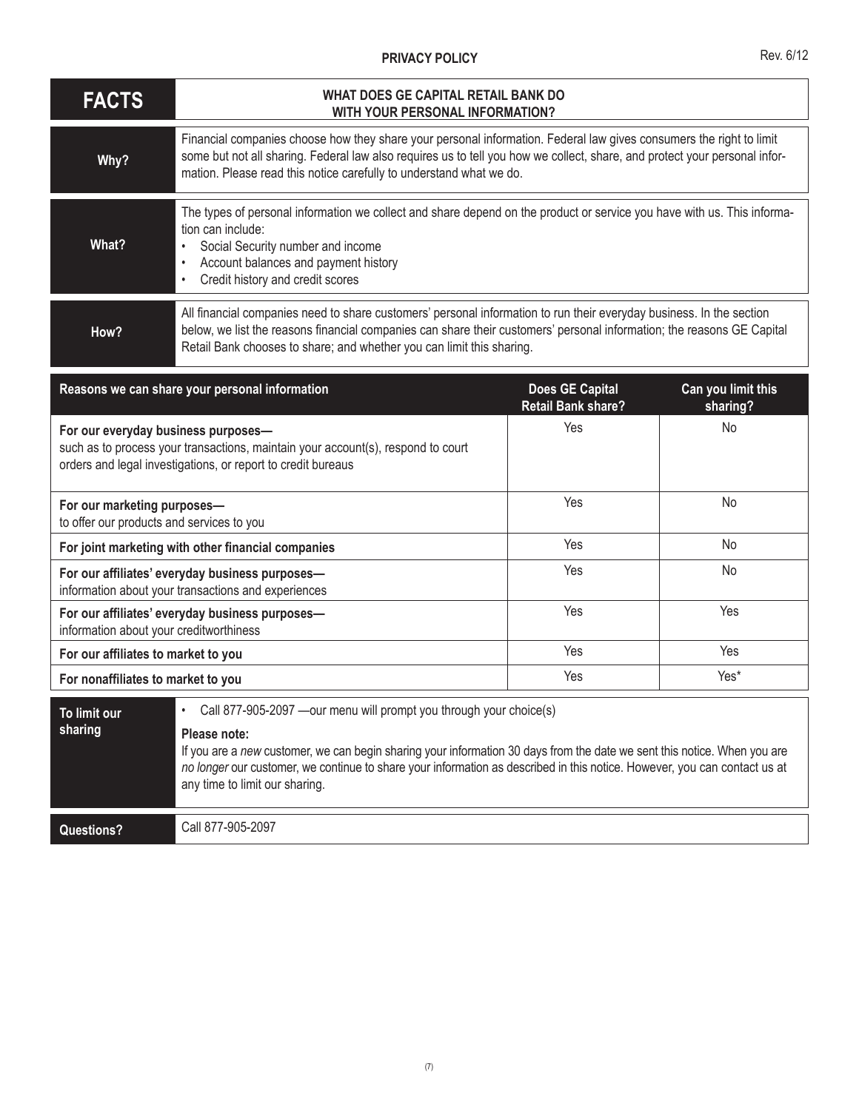## **PRIVACY POLICY**

| <b>FACTS</b>                                                             | WHAT DOES GE CAPITAL RETAIL BANK DO<br>WITH YOUR PERSONAL INFORMATION?                                                                                                                                                                                                                                                                                                         |                                                     |                                |  |  |
|--------------------------------------------------------------------------|--------------------------------------------------------------------------------------------------------------------------------------------------------------------------------------------------------------------------------------------------------------------------------------------------------------------------------------------------------------------------------|-----------------------------------------------------|--------------------------------|--|--|
| Why?                                                                     | Financial companies choose how they share your personal information. Federal law gives consumers the right to limit<br>some but not all sharing. Federal law also requires us to tell you how we collect, share, and protect your personal infor-<br>mation. Please read this notice carefully to understand what we do.                                                       |                                                     |                                |  |  |
| What?                                                                    | The types of personal information we collect and share depend on the product or service you have with us. This informa-<br>tion can include:<br>Social Security number and income<br>Account balances and payment history<br>$\bullet$<br>Credit history and credit scores                                                                                                     |                                                     |                                |  |  |
| How?                                                                     | All financial companies need to share customers' personal information to run their everyday business. In the section<br>below, we list the reasons financial companies can share their customers' personal information; the reasons GE Capital<br>Retail Bank chooses to share; and whether you can limit this sharing.                                                        |                                                     |                                |  |  |
|                                                                          | Reasons we can share your personal information                                                                                                                                                                                                                                                                                                                                 | <b>Does GE Capital</b><br><b>Retail Bank share?</b> | Can you limit this<br>sharing? |  |  |
| For our everyday business purposes-                                      | such as to process your transactions, maintain your account(s), respond to court<br>orders and legal investigations, or report to credit bureaus                                                                                                                                                                                                                               | Yes                                                 | No                             |  |  |
| For our marketing purposes-<br>to offer our products and services to you |                                                                                                                                                                                                                                                                                                                                                                                | Yes                                                 | <b>No</b>                      |  |  |
| For joint marketing with other financial companies                       |                                                                                                                                                                                                                                                                                                                                                                                | Yes                                                 | No                             |  |  |
|                                                                          | For our affiliates' everyday business purposes-<br>information about your transactions and experiences                                                                                                                                                                                                                                                                         | Yes                                                 | No                             |  |  |
| information about your creditworthiness                                  | For our affiliates' everyday business purposes-                                                                                                                                                                                                                                                                                                                                | Yes                                                 | Yes                            |  |  |
| For our affiliates to market to you                                      |                                                                                                                                                                                                                                                                                                                                                                                | Yes                                                 | Yes                            |  |  |
| For nonaffiliates to market to you                                       |                                                                                                                                                                                                                                                                                                                                                                                | Yes                                                 | Yes*                           |  |  |
| To limit our<br>sharing                                                  | Call 877-905-2097 - our menu will prompt you through your choice(s)<br>Please note:<br>If you are a new customer, we can begin sharing your information 30 days from the date we sent this notice. When you are<br>no longer our customer, we continue to share your information as described in this notice. However, you can contact us at<br>any time to limit our sharing. |                                                     |                                |  |  |
| <b>Questions?</b>                                                        | Call 877-905-2097                                                                                                                                                                                                                                                                                                                                                              |                                                     |                                |  |  |

Rev. 6/12